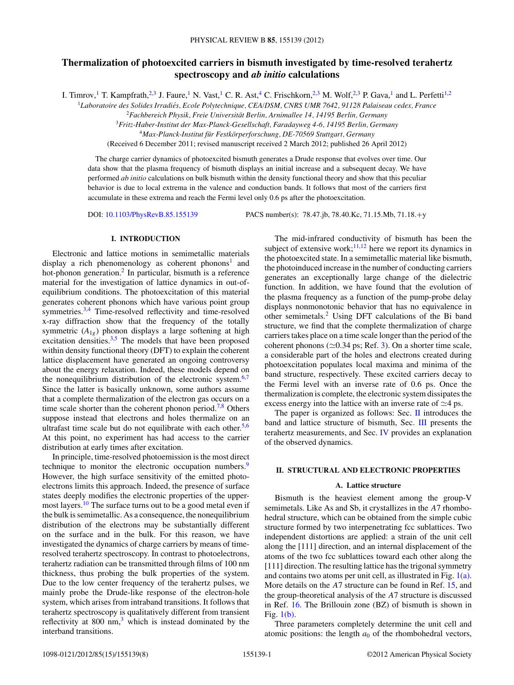# **Thermalization of photoexcited carriers in bismuth investigated by time-resolved terahertz spectroscopy and** *ab initio* **calculations**

I. Timrov,<sup>1</sup> T. Kampfrath,<sup>2,3</sup> J. Faure,<sup>1</sup> N. Vast,<sup>1</sup> C. R. Ast,<sup>4</sup> C. Frischkorn,<sup>2,3</sup> M. Wolf,<sup>2,3</sup> P. Gava,<sup>1</sup> and L. Perfetti<sup>1,2</sup>

<sup>1</sup>*Laboratoire des Solides Irradies, Ecole Polytechnique, CEA/DSM, CNRS UMR 7642, 91128 Palaiseau cedex, France ´*

<sup>2</sup>*Fachbereich Physik, Freie Universitat Berlin, Arnimallee 14, 14195 Berlin, Germany ¨*

<sup>3</sup>*Fritz-Haber-Institut der Max-Planck-Gesellschaft, Faradayweg 4-6, 14195 Berlin, Germany*

<sup>4</sup>Max-Planck-Institut für Festkörperforschung, DE-70569 Stuttgart, Germany

(Received 6 December 2011; revised manuscript received 2 March 2012; published 26 April 2012)

The charge carrier dynamics of photoexcited bismuth generates a Drude response that evolves over time. Our data show that the plasma frequency of bismuth displays an initial increase and a subsequent decay. We have performed *ab initio* calculations on bulk bismuth within the density functional theory and show that this peculiar behavior is due to local extrema in the valence and conduction bands. It follows that most of the carriers first accumulate in these extrema and reach the Fermi level only 0.6 ps after the photoexcitation.

DOI: [10.1103/PhysRevB.85.155139](http://dx.doi.org/10.1103/PhysRevB.85.155139) PACS number(s): 78*.*47*.*jb, 78*.*40*.*Kc, 71*.*15*.*Mb, 71*.*18*.*+y

# **I. INTRODUCTION**

Electronic and lattice motions in semimetallic materials display a rich phenomenology as coherent phonons<sup>[1](#page-7-0)</sup> and hot-phonon generation.<sup>2</sup> In particular, bismuth is a reference material for the investigation of lattice dynamics in out-ofequilibrium conditions. The photoexcitation of this material generates coherent phonons which have various point group symmetries.<sup>[3,4](#page-7-0)</sup> Time-resolved reflectivity and time-resolved x-ray diffraction show that the frequency of the totally symmetric  $(A_{1g})$  phonon displays a large softening at high excitation densities. $3,5$  The models that have been proposed within density functional theory (DFT) to explain the coherent lattice displacement have generated an ongoing controversy about the energy relaxation. Indeed, these models depend on the nonequilibrium distribution of the electronic system. $6,7$ Since the latter is basically unknown, some authors assume that a complete thermalization of the electron gas occurs on a time scale shorter than the coherent phonon period.<sup>7,8</sup> Others suppose instead that electrons and holes thermalize on an ultrafast time scale but do not equilibrate with each other.<sup>[5,6](#page-7-0)</sup> At this point, no experiment has had access to the carrier distribution at early times after excitation.

In principle, time-resolved photoemission is the most direct technique to monitor the electronic occupation numbers.<sup>[9](#page-7-0)</sup> However, the high surface sensitivity of the emitted photoelectrons limits this approach. Indeed, the presence of surface states deeply modifies the electronic properties of the uppermost layers.<sup>10</sup> The surface turns out to be a good metal even if the bulk is semimetallic. As a consequence, the nonequilibrium distribution of the electrons may be substantially different on the surface and in the bulk. For this reason, we have investigated the dynamics of charge carriers by means of timeresolved terahertz spectroscopy. In contrast to photoelectrons, terahertz radiation can be transmitted through films of 100 nm thickness, thus probing the bulk properties of the system. Due to the low center frequency of the terahertz pulses, we mainly probe the Drude-like response of the electron-hole system, which arises from intraband transitions. It follows that terahertz spectroscopy is qualitatively different from transient reflectivity at  $800 \text{ nm}^3$  $800 \text{ nm}^3$ , which is instead dominated by the interband transitions.

The mid-infrared conductivity of bismuth has been the subject of extensive work;  $\frac{11,12}{1}$  $\frac{11,12}{1}$  $\frac{11,12}{1}$  here we report its dynamics in the photoexcited state. In a semimetallic material like bismuth, the photoinduced increase in the number of conducting carriers generates an exceptionally large change of the dielectric function. In addition, we have found that the evolution of the plasma frequency as a function of the pump-probe delay displays nonmonotonic behavior that has no equivalence in other semimetals.[2](#page-7-0) Using DFT calculations of the Bi band structure, we find that the complete thermalization of charge carriers takes place on a time scale longer than the period of the coherent phonons ( $\simeq$ 0.34 ps; Ref. [3\)](#page-7-0). On a shorter time scale, a considerable part of the holes and electrons created during photoexcitation populates local maxima and minima of the band structure, respectively. These excited carriers decay to the Fermi level with an inverse rate of 0.6 ps. Once the thermalization is complete, the electronic system dissipates the excess energy into the lattice with an inverse rate of  $\simeq$  4 ps.

The paper is organized as follows: Sec.  $\Pi$  introduces the band and lattice structure of bismuth, Sec. [III](#page-2-0) presents the terahertz measurements, and Sec. [IV](#page-4-0) provides an explanation of the observed dynamics.

# **II. STRUCTURAL AND ELECTRONIC PROPERTIES**

# **A. Lattice structure**

Bismuth is the heaviest element among the group-V semimetals. Like As and Sb, it crystallizes in the *A*7 rhombohedral structure, which can be obtained from the simple cubic structure formed by two interpenetrating fcc sublattices. Two independent distortions are applied: a strain of the unit cell along the [111] direction, and an internal displacement of the atoms of the two fcc sublattices toward each other along the [111] direction. The resulting lattice has the trigonal symmetry and contains two atoms per unit cell, as illustrated in Fig. [1\(a\).](#page-1-0) More details on the *A*7 structure can be found in Ref. [15,](#page-7-0) and the group-theoretical analysis of the *A*7 structure is discussed in Ref. [16.](#page-7-0) The Brillouin zone (BZ) of bismuth is shown in Fig. [1\(b\).](#page-1-0)

Three parameters completely determine the unit cell and atomic positions: the length  $a_0$  of the rhombohedral vectors,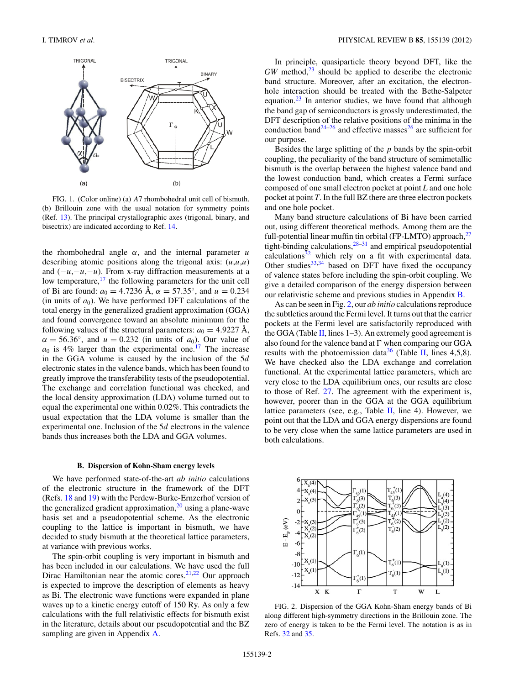<span id="page-1-0"></span>

FIG. 1. (Color online) (a) *A*7 rhombohedral unit cell of bismuth. (b) Brillouin zone with the usual notation for symmetry points (Ref. [13\)](#page-7-0). The principal crystallographic axes (trigonal, binary, and bisectrix) are indicated according to Ref. [14.](#page-7-0)

the rhombohedral angle  $\alpha$ , and the internal parameter  $\mu$ describing atomic positions along the trigonal axis: (*u*,*u*,*u*) and (−*u*,−*u*,−*u*). From x-ray diffraction measurements at a low temperature, $17$  the following parameters for the unit cell of Bi are found:  $a_0 = 4.7236$  Å,  $\alpha = 57.35^{\circ}$ , and  $u = 0.234$ (in units of  $a_0$ ). We have performed DFT calculations of the total energy in the generalized gradient approximation (GGA) and found convergence toward an absolute minimum for the following values of the structural parameters:  $a_0 = 4.9227 \text{ Å}$ ,  $\alpha = 56.36°$ , and  $u = 0.232$  (in units of *a*<sub>0</sub>). Our value of  $a_0$  is 4% larger than the experimental one.<sup>17</sup> The increase in the GGA volume is caused by the inclusion of the 5*d* electronic states in the valence bands, which has been found to greatly improve the transferability tests of the pseudopotential. The exchange and correlation functional was checked, and the local density approximation (LDA) volume turned out to equal the experimental one within 0.02%. This contradicts the usual expectation that the LDA volume is smaller than the experimental one. Inclusion of the 5*d* electrons in the valence bands thus increases both the LDA and GGA volumes.

### **B. Dispersion of Kohn-Sham energy levels**

We have performed state-of-the-art *ab initio* calculations of the electronic structure in the framework of the DFT (Refs. [18](#page-7-0) and [19\)](#page-7-0) with the Perdew-Burke-Ernzerhof version of the generalized gradient approximation, $20$  using a plane-wave basis set and a pseudopotential scheme. As the electronic coupling to the lattice is important in bismuth, we have decided to study bismuth at the theoretical lattice parameters, at variance with previous works.

The spin-orbit coupling is very important in bismuth and has been included in our calculations. We have used the full Dirac Hamiltonian near the atomic cores. $21,22$  Our approach is expected to improve the description of elements as heavy as Bi. The electronic wave functions were expanded in plane waves up to a kinetic energy cutoff of 150 Ry. As only a few calculations with the full relativistic effects for bismuth exist in the literature, details about our pseudopotential and the BZ sampling are given in Appendix [A.](#page-5-0)

In principle, quasiparticle theory beyond DFT, like the *GW* method,<sup>[23](#page-7-0)</sup> should be applied to describe the electronic band structure. Moreover, after an excitation, the electronhole interaction should be treated with the Bethe-Salpeter equation. $^{23}$  $^{23}$  $^{23}$  In anterior studies, we have found that although the band gap of semiconductors is grossly underestimated, the DFT description of the relative positions of the minima in the conduction band<sup>24–[26](#page-7-0)</sup> and effective masses<sup>26</sup> are sufficient for our purpose.

Besides the large splitting of the *p* bands by the spin-orbit coupling, the peculiarity of the band structure of semimetallic bismuth is the overlap between the highest valence band and the lowest conduction band, which creates a Fermi surface composed of one small electron pocket at point *L* and one hole pocket at point *T*. In the full BZ there are three electron pockets and one hole pocket.

Many band structure calculations of Bi have been carried out, using different theoretical methods. Among them are the full-potential linear muffin tin orbital (FP-LMTO) approach,<sup>27</sup> tight-binding calculations, $28-31$  and empirical pseudopotential calculations<sup>[32](#page-7-0)</sup> which rely on a fit with experimental data. Other studies $33,34$  based on DFT have fixed the occupancy of valence states before including the spin-orbit coupling. We give a detailed comparison of the energy dispersion between our relativistic scheme and previous studies in Appendix [B.](#page-6-0)

As can be seen in Fig. 2, our *ab initio* calculations reproduce the subtleties around the Fermi level. It turns out that the carrier pockets at the Fermi level are satisfactorily reproduced with the GGA (Table [II,](#page-6-0) lines  $1-3$ ). An extremely good agreement is also found for the valence band at  $\Gamma$  when comparing our GGA results with the photoemission data<sup>[36](#page-7-0)</sup> (Table [II,](#page-6-0) lines 4,5,8). We have checked also the LDA exchange and correlation functional. At the experimental lattice parameters, which are very close to the LDA equilibrium ones, our results are close to those of Ref. [27.](#page-7-0) The agreement with the experiment is, however, poorer than in the GGA at the GGA equilibrium lattice parameters (see, e.g., Table  $II$ , line 4). However, we point out that the LDA and GGA energy dispersions are found to be very close when the same lattice parameters are used in both calculations.



FIG. 2. Dispersion of the GGA Kohn-Sham energy bands of Bi along different high-symmetry directions in the Brillouin zone. The zero of energy is taken to be the Fermi level. The notation is as in Refs. [32](#page-7-0) and [35.](#page-7-0)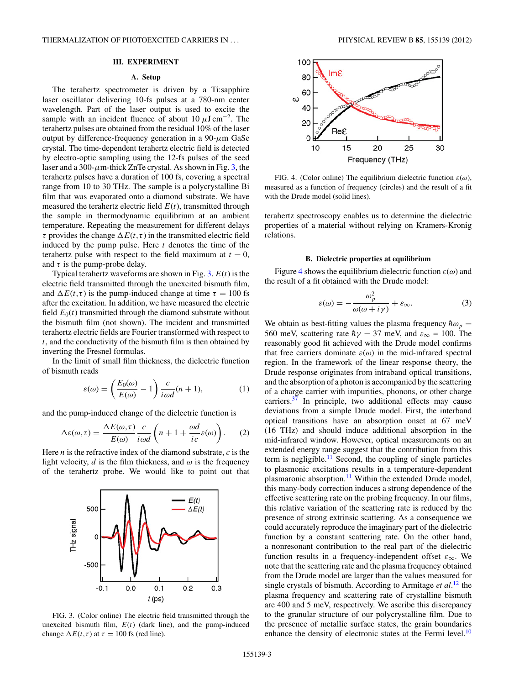### **III. EXPERIMENT**

# **A. Setup**

<span id="page-2-0"></span>The terahertz spectrometer is driven by a Ti:sapphire laser oscillator delivering 10-fs pulses at a 780-nm center wavelength. Part of the laser output is used to excite the sample with an incident fluence of about 10  $\mu$ J cm<sup>-2</sup>. The terahertz pulses are obtained from the residual 10% of the laser output by difference-frequency generation in a 90-*μ*m GaSe crystal. The time-dependent terahertz electric field is detected by electro-optic sampling using the 12-fs pulses of the seed laser and a 300- $\mu$ m-thick ZnTe crystal. As shown in Fig. 3, the terahertz pulses have a duration of 100 fs, covering a spectral range from 10 to 30 THz. The sample is a polycrystalline Bi film that was evaporated onto a diamond substrate. We have measured the terahertz electric field  $E(t)$ , transmitted through the sample in thermodynamic equilibrium at an ambient temperature. Repeating the measurement for different delays *τ* provides the change  $\Delta E(t, \tau)$  in the transmitted electric field induced by the pump pulse. Here *t* denotes the time of the terahertz pulse with respect to the field maximum at  $t = 0$ , and  $\tau$  is the pump-probe delay.

Typical terahertz waveforms are shown in Fig. 3. *E*(*t*) is the electric field transmitted through the unexcited bismuth film, and  $\Delta E(t, \tau)$  is the pump-induced change at time  $\tau = 100$  fs after the excitation. In addition, we have measured the electric field  $E_0(t)$  transmitted through the diamond substrate without the bismuth film (not shown). The incident and transmitted terahertz electric fields are Fourier transformed with respect to *t*, and the conductivity of the bismuth film is then obtained by inverting the Fresnel formulas.

In the limit of small film thickness, the dielectric function of bismuth reads

$$
\varepsilon(\omega) = \left(\frac{E_0(\omega)}{E(\omega)} - 1\right) \frac{c}{i\omega d}(n+1),\tag{1}
$$

and the pump-induced change of the dielectric function is

$$
\Delta \varepsilon(\omega, \tau) = \frac{\Delta E(\omega, \tau)}{E(\omega)} \frac{c}{i \omega d} \left( n + 1 + \frac{\omega d}{i c} \varepsilon(\omega) \right). \tag{2}
$$

Here *n* is the refractive index of the diamond substrate, *c* is the light velocity,  $d$  is the film thickness, and  $\omega$  is the frequency of the terahertz probe. We would like to point out that



FIG. 3. (Color online) The electric field transmitted through the unexcited bismuth film,  $E(t)$  (dark line), and the pump-induced change  $\Delta E(t, \tau)$  at  $\tau = 100$  fs (red line).



FIG. 4. (Color online) The equilibrium dielectric function *ε*(*ω*), measured as a function of frequency (circles) and the result of a fit with the Drude model (solid lines).

terahertz spectroscopy enables us to determine the dielectric properties of a material without relying on Kramers-Kronig relations.

#### **B. Dielectric properties at equilibrium**

Figure 4 shows the equilibrium dielectric function *ε*(*ω*) and the result of a fit obtained with the Drude model:

$$
\varepsilon(\omega) = -\frac{\omega_p^2}{\omega(\omega + i\gamma)} + \varepsilon_\infty.
$$
 (3)

We obtain as best-fitting values the plasma frequency  $\hbar \omega_p =$ 560 meV, scattering rate  $\hbar\gamma = 37$  meV, and  $\varepsilon_{\infty} = 100$ . The reasonably good fit achieved with the Drude model confirms that free carriers dominate  $\varepsilon(\omega)$  in the mid-infrared spectral region. In the framework of the linear response theory, the Drude response originates from intraband optical transitions, and the absorption of a photon is accompanied by the scattering of a charge carrier with impurities, phonons, or other charge carriers.<sup>37</sup> In principle, two additional effects may cause deviations from a simple Drude model. First, the interband optical transitions have an absorption onset at 67 meV (16 THz) and should induce additional absorption in the mid-infrared window. However, optical measurements on an extended energy range suggest that the contribution from this term is negligible.<sup>11</sup> Second, the coupling of single particles to plasmonic excitations results in a temperature-dependent plasmaronic absorption.<sup>11</sup> Within the extended Drude model, this many-body correction induces a strong dependence of the effective scattering rate on the probing frequency. In our films, this relative variation of the scattering rate is reduced by the presence of strong extrinsic scattering. As a consequence we could accurately reproduce the imaginary part of the dielectric function by a constant scattering rate. On the other hand, a nonresonant contribution to the real part of the dielectric function results in a frequency-independent offset *ε*∞. We note that the scattering rate and the plasma frequency obtained from the Drude model are larger than the values measured for single crystals of bismuth. According to Armitage *et al.*[12](#page-7-0) the plasma frequency and scattering rate of crystalline bismuth are 400 and 5 meV, respectively. We ascribe this discrepancy to the granular structure of our polycrystalline film. Due to the presence of metallic surface states, the grain boundaries enhance the density of electronic states at the Fermi level.<sup>10</sup>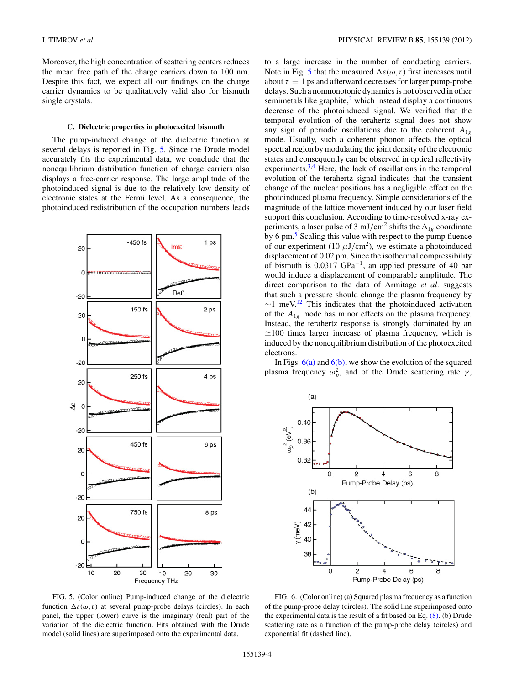<span id="page-3-0"></span>Moreover, the high concentration of scattering centers reduces the mean free path of the charge carriers down to 100 nm. Despite this fact, we expect all our findings on the charge carrier dynamics to be qualitatively valid also for bismuth single crystals.

#### **C. Dielectric properties in photoexcited bismuth**

The pump-induced change of the dielectric function at several delays is reported in Fig. 5. Since the Drude model accurately fits the experimental data, we conclude that the nonequilibrium distribution function of charge carriers also displays a free-carrier response. The large amplitude of the photoinduced signal is due to the relatively low density of electronic states at the Fermi level. As a consequence, the photoinduced redistribution of the occupation numbers leads



FIG. 5. (Color online) Pump-induced change of the dielectric function  $\Delta\varepsilon(\omega,\tau)$  at several pump-probe delays (circles). In each panel, the upper (lower) curve is the imaginary (real) part of the variation of the dielectric function. Fits obtained with the Drude model (solid lines) are superimposed onto the experimental data.

to a large increase in the number of conducting carriers. Note in Fig. 5 that the measured  $\Delta\varepsilon(\omega, \tau)$  first increases until about  $\tau = 1$  ps and afterward decreases for larger pump-probe delays. Such a nonmonotonic dynamics is not observed in other semimetals like graphite, $2$  which instead display a continuous decrease of the photoinduced signal. We verified that the temporal evolution of the terahertz signal does not show any sign of periodic oscillations due to the coherent  $A_{1g}$ mode. Usually, such a coherent phonon affects the optical spectral region by modulating the joint density of the electronic states and consequently can be observed in optical reflectivity experiments.<sup>[3,4](#page-7-0)</sup> Here, the lack of oscillations in the temporal evolution of the terahertz signal indicates that the transient change of the nuclear positions has a negligible effect on the photoinduced plasma frequency. Simple considerations of the magnitude of the lattice movement induced by our laser field support this conclusion. According to time-resolved x-ray experiments, a laser pulse of 3 mJ/cm<sup>2</sup> shifts the  $A_{1g}$  coordinate by 6 pm.<sup>[5](#page-7-0)</sup> Scaling this value with respect to the pump fluence of our experiment (10  $\mu$ J/cm<sup>2</sup>), we estimate a photoinduced displacement of 0.02 pm. Since the isothermal compressibility of bismuth is 0.0317 GPa−1, an applied pressure of 40 bar would induce a displacement of comparable amplitude. The direct comparison to the data of Armitage *et al.* suggests that such a pressure should change the plasma frequency by  $∼1$  meV.<sup>[12](#page-7-0)</sup> This indicates that the photoinduced activation of the *A*1*<sup>g</sup>* mode has minor effects on the plasma frequency. Instead, the terahertz response is strongly dominated by an  $\simeq$ 100 times larger increase of plasma frequency, which is induced by the nonequilibrium distribution of the photoexcited electrons.

In Figs.  $6(a)$  and  $6(b)$ , we show the evolution of the squared plasma frequency  $ω<sub>p</sub><sup>2</sup>$ , and of the Drude scattering rate *γ*,



FIG. 6. (Color online) (a) Squared plasma frequency as a function of the pump-probe delay (circles). The solid line superimposed onto the experimental data is the result of a fit based on Eq.  $(8)$ . (b) Drude scattering rate as a function of the pump-probe delay (circles) and exponential fit (dashed line).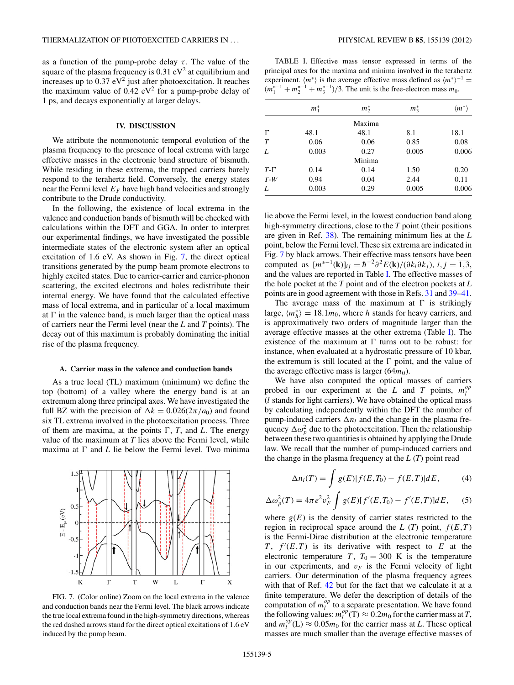<span id="page-4-0"></span>as a function of the pump-probe delay  $\tau$ . The value of the square of the plasma frequency is  $0.31 \text{ eV}^2$  at equilibrium and increases up to  $0.37$  eV<sup>2</sup> just after photoexcitation. It reaches the maximum value of  $0.42 \text{ eV}^2$  for a pump-probe delay of 1 ps, and decays exponentially at larger delays.

### **IV. DISCUSSION**

We attribute the nonmonotonic temporal evolution of the plasma frequency to the presence of local extrema with large effective masses in the electronic band structure of bismuth. While residing in these extrema, the trapped carriers barely respond to the terahertz field. Conversely, the energy states near the Fermi level  $E_F$  have high band velocities and strongly contribute to the Drude conductivity.

In the following, the existence of local extrema in the valence and conduction bands of bismuth will be checked with calculations within the DFT and GGA. In order to interpret our experimental findings, we have investigated the possible intermediate states of the electronic system after an optical excitation of 1.6 eV. As shown in Fig. 7, the direct optical transitions generated by the pump beam promote electrons to highly excited states. Due to carrier-carrier and carrier-phonon scattering, the excited electrons and holes redistribute their internal energy. We have found that the calculated effective mass of local extrema, and in particular of a local maximum at  $\Gamma$  in the valence band, is much larger than the optical mass of carriers near the Fermi level (near the *L* and *T* points). The decay out of this maximum is probably dominating the initial rise of the plasma frequency.

#### **A. Carrier mass in the valence and conduction bands**

As a true local (TL) maximum (minimum) we define the top (bottom) of a valley where the energy band is at an extremum along three principal axes. We have investigated the full BZ with the precision of  $\Delta k = 0.026(2\pi/a_0)$  and found six TL extrema involved in the photoexcitation process. Three of them are maxima, at the points  $\Gamma$ ,  $T$ , and  $L$ . The energy value of the maximum at *T* lies above the Fermi level, while maxima at  $\Gamma$  and  $L$  lie below the Fermi level. Two minima

 $\theta$ 

 $-0.5$ 

K

 $\Gamma$ 

 $E - E_v$  (eV)



T

W

L

 $\Gamma$ 

TABLE I. Effective mass tensor expressed in terms of the principal axes for the maxima and minima involved in the terahertz experiment.  $\langle m^* \rangle$  is the average effective mass defined as  $\langle m^* \rangle^{-1}$  =  $(m_1^{*-1} + m_2^{*-1} + m_3^{*-1})/3$ . The unit is the free-electron mass  $m_0$ .

|        | $m_1^*$ | $m^*_{2}$ | $m_3^*$ | $\langle m^* \rangle$ |
|--------|---------|-----------|---------|-----------------------|
|        |         | Maxima    |         |                       |
| F      | 48.1    | 48.1      | 8.1     | 18.1                  |
| $\tau$ | 0.06    | 0.06      | 0.85    | 0.08                  |
| L      | 0.003   | 0.27      | 0.005   | 0.006                 |
|        |         | Minima    |         |                       |
| $T-T$  | 0.14    | 0.14      | 1.50    | 0.20                  |
| $T-W$  | 0.94    | 0.04      | 2.44    | 0.11                  |
| L      | 0.003   | 0.29      | 0.005   | 0.006                 |

lie above the Fermi level, in the lowest conduction band along high-symmetry directions, close to the *T* point (their positions are given in Ref. [38\)](#page-7-0). The remaining minimum lies at the *L* point, below the Fermi level. These six extrema are indicated in Fig. 7 by black arrows. Their effective mass tensors have been computed as  $[m^{*-1}(\mathbf{k})]_{ij} = \hbar^{-2} \partial^2 E(\mathbf{k}) / (\partial k_i \partial k_j), i, j = \overline{1,3}$ , and the values are reported in Table I. The effective masses of the hole pocket at the *T* point and of the electron pockets at *L* points are in good agreement with those in Refs. [31](#page-7-0) and [39–41.](#page-7-0)

The average mass of the maximum at  $\Gamma$  is strikingly large,  $\langle m_h^* \rangle = 18.1 m_0$ , where *h* stands for heavy carriers, and is approximatively two orders of magnitude larger than the average effective masses at the other extrema (Table I). The existence of the maximum at  $\Gamma$  turns out to be robust: for instance, when evaluated at a hydrostatic pressure of 10 kbar, the extremum is still located at the  $\Gamma$  point, and the value of the average effective mass is larger  $(64m<sub>0</sub>)$ .

We have also computed the optical masses of carriers probed in our experiment at the *L* and *T* points,  $m_l^{op}$ (*l* stands for light carriers). We have obtained the optical mass by calculating independently within the DFT the number of pump-induced carriers  $\Delta n_l$  and the change in the plasma frequency  $\Delta \omega_p^2$  due to the photoexcitation. Then the relationship between these two quantities is obtained by applying the Drude law. We recall that the number of pump-induced carriers and the change in the plasma frequency at the *L* (*T*) point read

$$
\Delta n_l(T) = \int g(E)|f(E,T_0) - f(E,T)|dE, \qquad (4)
$$

$$
\Delta \omega_p^2(T) = 4\pi e^2 v_F^2 \int g(E) [f'(E, T_0) - f'(E, T)] dE, \quad (5)
$$

where  $g(E)$  is the density of carrier states restricted to the region in reciprocal space around the  $L(T)$  point,  $f(E,T)$ is the Fermi-Dirac distribution at the electronic temperature  $T$ ,  $f'(E,T)$  is its derivative with respect to  $E$  at the electronic temperature *T*,  $T_0 = 300$  K is the temperature in our experiments, and  $v_F$  is the Fermi velocity of light carriers. Our determination of the plasma frequency agrees with that of Ref. [42](#page-7-0) but for the fact that we calculate it at a finite temperature. We defer the description of details of the computation of  $m_l^{op}$  to a separate presentation. We have found the following values:  $m_l^{op}(\mathbf{T}) \approx 0.2 m_0$  for the carrier mass at *T*, and  $m_l^{op}$  (L)  $\approx 0.05 m_0$  for the carrier mass at *L*. These optical masses are much smaller than the average effective masses of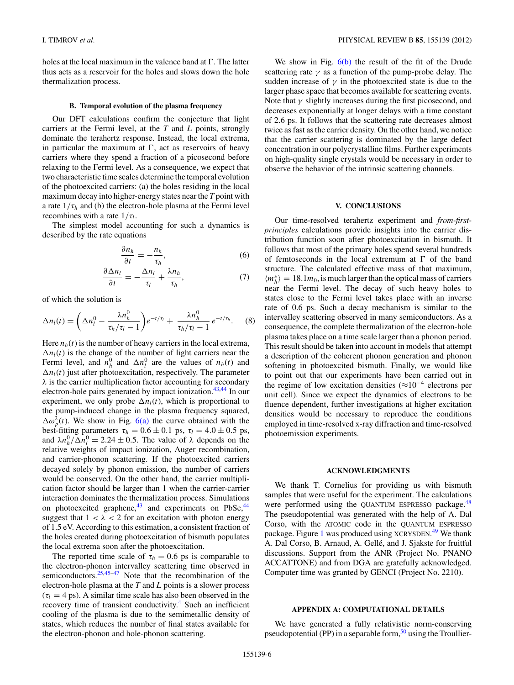<span id="page-5-0"></span>holes at the local maximum in the valence band at  $\Gamma$ . The latter thus acts as a reservoir for the holes and slows down the hole thermalization process.

### **B. Temporal evolution of the plasma frequency**

Our DFT calculations confirm the conjecture that light carriers at the Fermi level, at the *T* and *L* points, strongly dominate the terahertz response. Instead, the local extrema, in particular the maximum at  $\Gamma$ , act as reservoirs of heavy carriers where they spend a fraction of a picosecond before relaxing to the Fermi level. As a consequence, we expect that two characteristic time scales determine the temporal evolution of the photoexcited carriers: (a) the holes residing in the local maximum decay into higher-energy states near the *T* point with a rate  $1/\tau_h$  and (b) the electron-hole plasma at the Fermi level recombines with a rate  $1/\tau_l$ .

The simplest model accounting for such a dynamics is described by the rate equations

$$
\frac{\partial n_h}{\partial t} = -\frac{n_h}{\tau_h},\tag{6}
$$

$$
\frac{\partial \Delta n_l}{\partial t} = -\frac{\Delta n_l}{\tau_l} + \frac{\lambda n_h}{\tau_h},\tag{7}
$$

of which the solution is

$$
\Delta n_l(t) = \left(\Delta n_l^0 - \frac{\lambda n_h^0}{\tau_h/\tau_l - 1}\right) e^{-t/\tau_l} + \frac{\lambda n_h^0}{\tau_h/\tau_l - 1} e^{-t/\tau_h}.
$$
 (8)

Here  $n_h(t)$  is the number of heavy carriers in the local extrema,  $\Delta n_l(t)$  is the change of the number of light carriers near the Fermi level, and  $n_h^0$  and  $\Delta n_l^0$  are the values of  $n_h(t)$  and  $\Delta n_l(t)$  just after photoexcitation, respectively. The parameter *λ* is the carrier multiplication factor accounting for secondary electron-hole pairs generated by impact ionization.<sup>[43,44](#page-7-0)</sup> In our experiment, we only probe  $\Delta n_l(t)$ , which is proportional to the pump-induced change in the plasma frequency squared,  $\Delta \omega_p^2(t)$ . We show in Fig. [6\(a\)](#page-3-0) the curve obtained with the best-fitting parameters  $\tau_h = 0.6 \pm 0.1$  ps,  $\tau_l = 4.0 \pm 0.5$  ps, and  $\lambda n_h^0 / \Delta n_l^0 = 2.24 \pm 0.5$ . The value of  $\lambda$  depends on the relative weights of impact ionization, Auger recombination, and carrier-phonon scattering. If the photoexcited carriers decayed solely by phonon emission, the number of carriers would be conserved. On the other hand, the carrier multiplication factor should be larger than 1 when the carrier-carrier interaction dominates the thermalization process. Simulations on photoexcited graphene, $43$  and experiments on PbSe, $44$ suggest that  $1 < \lambda < 2$  for an excitation with photon energy of 1.5 eV. According to this estimation, a consistent fraction of the holes created during photoexcitation of bismuth populates the local extrema soon after the photoexcitation.

The reported time scale of  $\tau_h = 0.6$  ps is comparable to the electron-phonon intervalley scattering time observed in semiconductors.<sup>25,45–47</sup> Note that the recombination of the electron-hole plasma at the *T* and *L* points is a slower process  $(\tau_l = 4 \text{ ps})$ . A similar time scale has also been observed in the recovery time of transient conductivity.<sup>4</sup> Such an inefficient cooling of the plasma is due to the semimetallic density of states, which reduces the number of final states available for the electron-phonon and hole-phonon scattering.

We show in Fig.  $6(b)$  the result of the fit of the Drude scattering rate  $\gamma$  as a function of the pump-probe delay. The sudden increase of  $\gamma$  in the photoexcited state is due to the larger phase space that becomes available for scattering events. Note that  $\gamma$  slightly increases during the first picosecond, and decreases exponentially at longer delays with a time constant of 2.6 ps. It follows that the scattering rate decreases almost twice as fast as the carrier density. On the other hand, we notice that the carrier scattering is dominated by the large defect concentration in our polycrystalline films. Further experiments on high-quality single crystals would be necessary in order to observe the behavior of the intrinsic scattering channels.

# **V. CONCLUSIONS**

Our time-resolved terahertz experiment and *from-firstprinciples* calculations provide insights into the carrier distribution function soon after photoexcitation in bismuth. It follows that most of the primary holes spend several hundreds of femtoseconds in the local extremum at  $\Gamma$  of the band structure. The calculated effective mass of that maximum,  $\langle m_h^* \rangle = 18.1 m_0$ , is much larger than the optical mass of carriers near the Fermi level. The decay of such heavy holes to states close to the Fermi level takes place with an inverse rate of 0.6 ps. Such a decay mechanism is similar to the intervalley scattering observed in many semiconductors. As a consequence, the complete thermalization of the electron-hole plasma takes place on a time scale larger than a phonon period. This result should be taken into account in models that attempt a description of the coherent phonon generation and phonon softening in photoexcited bismuth. Finally, we would like to point out that our experiments have been carried out in the regime of low excitation densities ( $\approx 10^{-4}$  electrons per unit cell). Since we expect the dynamics of electrons to be fluence dependent, further investigations at higher excitation densities would be necessary to reproduce the conditions employed in time-resolved x-ray diffraction and time-resolved photoemission experiments.

### **ACKNOWLEDGMENTS**

We thank T. Cornelius for providing us with bismuth samples that were useful for the experiment. The calculations were performed using the QUANTUM ESPRESSO package.<sup>48</sup> The pseudopotential was generated with the help of A. Dal Corso, with the ATOMIC code in the QUANTUM ESPRESSO package. Figure [1](#page-1-0) was produced using XCRYSDEN.<sup>[49](#page-7-0)</sup> We thank A. Dal Corso, B. Arnaud, A. Gellé, and J. Sjakste for fruitful discussions. Support from the ANR (Project No. PNANO ACCATTONE) and from DGA are gratefully acknowledged. Computer time was granted by GENCI (Project No. 2210).

# **APPENDIX A: COMPUTATIONAL DETAILS**

We have generated a fully relativistic norm-conserving pseudopotential (PP) in a separable form,<sup>50</sup> using the Troullier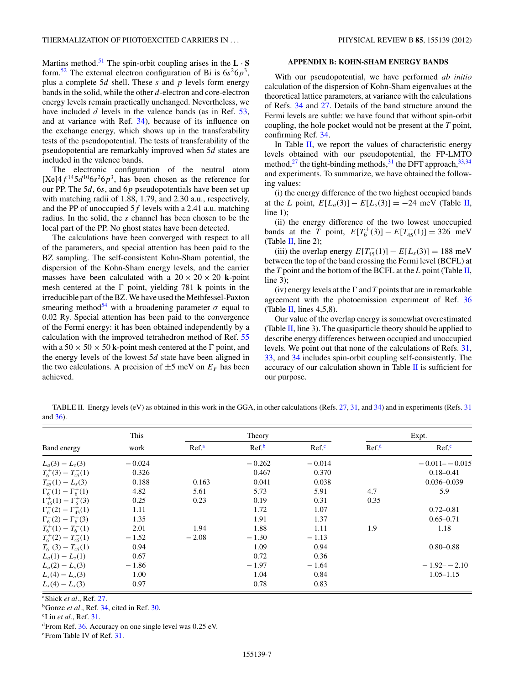<span id="page-6-0"></span>Martins method.<sup>[51](#page-7-0)</sup> The spin-orbit coupling arises in the  $\mathbf{L} \cdot \mathbf{S}$ form.<sup>[52](#page-7-0)</sup> The external electron configuration of Bi is  $6s^26p^3$ , plus a complete 5*d* shell. These *s* and *p* levels form energy bands in the solid, while the other *d*-electron and core-electron energy levels remain practically unchanged. Nevertheless, we have included *d* levels in the valence bands (as in Ref. [53,](#page-7-0) and at variance with Ref. [34\)](#page-7-0), because of its influence on the exchange energy, which shows up in the transferability tests of the pseudopotential. The tests of transferability of the pseudopotential are remarkably improved when 5*d* states are included in the valence bands.

The electronic configuration of the neutral atom  $[Xe]4f^{14}5d^{10}6s^26p^3$ , has been chosen as the reference for our PP. The 5*d*, 6*s*, and 6*p* pseudopotentials have been set up with matching radii of 1.88, 1.79, and 2.30 a.u., respectively, and the PP of unoccupied 5*f* levels with a 2.41 a.u. matching radius. In the solid, the *s* channel has been chosen to be the local part of the PP. No ghost states have been detected.

The calculations have been converged with respect to all of the parameters, and special attention has been paid to the BZ sampling. The self-consistent Kohn-Sham potential, the dispersion of the Kohn-Sham energy levels, and the carrier masses have been calculated with a  $20 \times 20 \times 20$  k-point mesh centered at the  $\Gamma$  point, yielding 781 **k** points in the irreducible part of the BZ. We have used the Methfessel-Paxton smearing method<sup>54</sup> with a broadening parameter  $\sigma$  equal to 0.02 Ry. Special attention has been paid to the convergence of the Fermi energy: it has been obtained independently by a calculation with the improved tetrahedron method of Ref. [55](#page-7-0) with a  $50 \times 50 \times 50$  k-point mesh centered at the  $\Gamma$  point, and the energy levels of the lowest 5*d* state have been aligned in the two calculations. A precision of  $\pm$ 5 meV on  $E_F$  has been achieved.

### **APPENDIX B: KOHN-SHAM ENERGY BANDS**

With our pseudopotential, we have performed *ab initio* calculation of the dispersion of Kohn-Sham eigenvalues at the theoretical lattice parameters, at variance with the calculations of Refs. [34](#page-7-0) and [27.](#page-7-0) Details of the band structure around the Fermi levels are subtle: we have found that without spin-orbit coupling, the hole pocket would not be present at the *T* point, confirming Ref. [34.](#page-7-0)

In Table  $II$ , we report the values of characteristic energy levels obtained with our pseudopotential, the FP-LMTO method, $^{27}$  $^{27}$  $^{27}$  the tight-binding methods, $^{31}$  the DFT approach,  $^{33,34}$  $^{33,34}$  $^{33,34}$ and experiments. To summarize, we have obtained the following values:

(i) the energy difference of the two highest occupied bands at the *L* point,  $E[L_a(3)] - E[L_s(3)] = -24$  meV (Table II, line 1);

(ii) the energy difference of the two lowest unoccupied bands at the *T* point,  $E[T_6^+(3)] - E[T_{45}^-(1)] = 326$  meV (Table  $II$ , line 2);

(iii) the overlap energy  $E[T_{45}^{-}(1)] - E[L_s(3)] = 188 \text{ meV}$ between the top of the band crossing the Fermi level (BCFL) at the *T* point and the bottom of the BCFL at the *L* point (Table II, line 3);

(iv) energy levels at the  $\Gamma$  and  $T$  points that are in remarkable agreement with the photoemission experiment of Ref. [36](#page-7-0) (Table II, lines  $4,5,8$ ).

Our value of the overlap energy is somewhat overestimated (Table II, line 3). The quasiparticle theory should be applied to describe energy differences between occupied and unoccupied levels. We point out that none of the calculations of Refs. [31,](#page-7-0) [33,](#page-7-0) and [34](#page-7-0) includes spin-orbit coupling self-consistently. The accuracy of our calculation shown in Table II is sufficient for our purpose.

TABLE II. Energy levels (eV) as obtained in this work in the GGA, in other calculations (Refs. [27,](#page-7-0) [31,](#page-7-0) and [34\)](#page-7-0) and in experiments (Refs. [31](#page-7-0) and [36\)](#page-7-0).

| Band energy                              | This<br>work |                  | Theory            |                  |                  | Expt.             |
|------------------------------------------|--------------|------------------|-------------------|------------------|------------------|-------------------|
|                                          |              | Ref <sup>a</sup> | Ref. <sup>b</sup> | Ref <sup>c</sup> | Ref <sup>d</sup> | Ref <sup>e</sup>  |
| $L_a(3) - L_s(3)$                        | $-0.024$     |                  | $-0.262$          | $-0.014$         |                  | $-0.011 - -0.015$ |
| $T_6^+(3) - T_{45}^-(1)$                 | 0.326        |                  | 0.467             | 0.370            |                  | $0.18 - 0.41$     |
| $T_{45}^{-}(1)-L_{s}(3)$                 | 0.188        | 0.163            | 0.041             | 0.038            |                  | $0.036 - 0.039$   |
| $\Gamma_6^{-}(1) - \Gamma_6^{+}(1)$      | 4.82         | 5.61             | 5.73              | 5.91             | 4.7              | 5.9               |
| $\Gamma_{45}^{+}(1) - \Gamma_{6}^{+}(3)$ | 0.25         | 0.23             | 0.19              | 0.31             | 0.35             |                   |
| $\Gamma_6^{-}(2) - \Gamma_{45}^{+}(1)$   | 1.11         |                  | 1.72              | 1.07             |                  | $0.72 - 0.81$     |
| $\Gamma_6^{-}(2) - \Gamma_6^{+}(3)$      | 1.35         |                  | 1.91              | 1.37             |                  | $0.65 - 0.71$     |
| $T_6^+(1) - T_6^-(1)$                    | 2.01         | 1.94             | 1.88              | 1.11             | 1.9              | 1.18              |
| $T_6^+(2) - T_{45}^-(1)$                 | $-1.52$      | $-2.08$          | $-1.30$           | $-1.13$          |                  |                   |
| $T_6^-(3) - T_{45}^-(1)$                 | 0.94         |                  | 1.09              | 0.94             |                  | $0.80 - 0.88$     |
| $L_a(1) - L_s(1)$                        | 0.67         |                  | 0.72              | 0.36             |                  |                   |
| $L_a(2) - L_s(3)$                        | $-1.86$      |                  | $-1.97$           | $-1.64$          |                  | $-1.92 - -2.10$   |
| $L_s(4) - L_a(3)$                        | 1.00         |                  | 1.04              | 0.84             |                  | $1.05 - 1.15$     |
| $L_s(4) - L_s(3)$                        | 0.97         |                  | 0.78              | 0.83             |                  |                   |

a Shick *et al.*, Ref. [27.](#page-7-0)

<sup>b</sup>Gonze *et al.*, Ref. [34,](#page-7-0) cited in Ref. [30.](#page-7-0)

c Liu *et al.*, Ref. [31.](#page-7-0)

dFrom Ref. [36.](#page-7-0) Accuracy on one single level was 0*.*25 eV.

e From Table IV of Ref. [31.](#page-7-0)